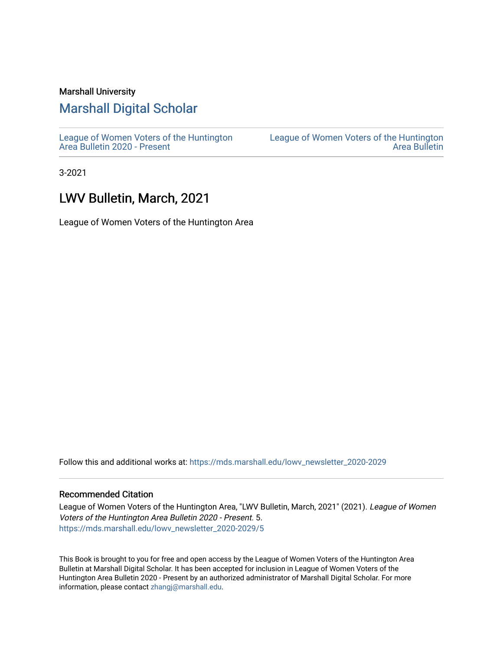#### Marshall University

# [Marshall Digital Scholar](https://mds.marshall.edu/)

[League of Women Voters of the Huntington](https://mds.marshall.edu/lowv_newsletter_2020-2029) [Area Bulletin 2020 - Present](https://mds.marshall.edu/lowv_newsletter_2020-2029)

[League of Women Voters of the Huntington](https://mds.marshall.edu/lowv_newsletter)  [Area Bulletin](https://mds.marshall.edu/lowv_newsletter) 

3-2021

# LWV Bulletin, March, 2021

League of Women Voters of the Huntington Area

Follow this and additional works at: [https://mds.marshall.edu/lowv\\_newsletter\\_2020-2029](https://mds.marshall.edu/lowv_newsletter_2020-2029?utm_source=mds.marshall.edu%2Flowv_newsletter_2020-2029%2F5&utm_medium=PDF&utm_campaign=PDFCoverPages) 

#### Recommended Citation

League of Women Voters of the Huntington Area, "LWV Bulletin, March, 2021" (2021). League of Women Voters of the Huntington Area Bulletin 2020 - Present. 5. [https://mds.marshall.edu/lowv\\_newsletter\\_2020-2029/5](https://mds.marshall.edu/lowv_newsletter_2020-2029/5?utm_source=mds.marshall.edu%2Flowv_newsletter_2020-2029%2F5&utm_medium=PDF&utm_campaign=PDFCoverPages) 

This Book is brought to you for free and open access by the League of Women Voters of the Huntington Area Bulletin at Marshall Digital Scholar. It has been accepted for inclusion in League of Women Voters of the Huntington Area Bulletin 2020 - Present by an authorized administrator of Marshall Digital Scholar. For more information, please contact [zhangj@marshall.edu.](mailto:zhangj@marshall.edu)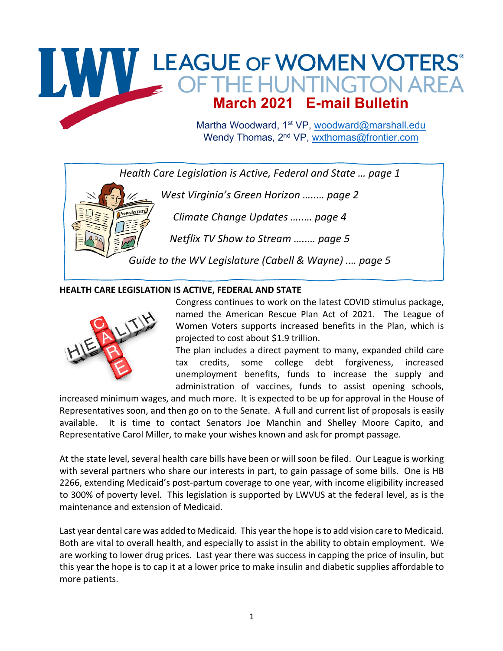# WWW LEAGUE OF WOMEN VOTERS **March 2021 E-mail Bulletin**

Martha Woodward, 1<sup>st</sup> VP, woodward@marshall.edu Wendy Thomas, 2<sup>nd</sup> VP, wxthomas@frontier.com

 *Health Care Legislation is Active, Federal and State … page 1*

 *West Virginia's Green Horizon …..… page 2*

 *Climate Change Updates …..… page 4*

 *Netflix TV Show to Stream …..… page 5*

 *Guide to the WV Legislature (Cabell & Wayne) .… page 5*

#### **HEALTH CARE LEGISLATION IS ACTIVE, FEDERAL AND STATE**



Newsletter

Congress continues to work on the latest COVID stimulus package, named the American Rescue Plan Act of 2021. The League of Women Voters supports increased benefits in the Plan, which is projected to cost about \$1.9 trillion.

The plan includes a direct payment to many, expanded child care tax credits, some college debt forgiveness, increased unemployment benefits, funds to increase the supply and administration of vaccines, funds to assist opening schools,

increased minimum wages, and much more. It is expected to be up for approval in the House of Representatives soon, and then go on to the Senate. A full and current list of proposals is easily available. It is time to contact Senators Joe Manchin and Shelley Moore Capito, and Representative Carol Miller, to make your wishes known and ask for prompt passage.

At the state level, several health care bills have been or will soon be filed. Our League is working with several partners who share our interests in part, to gain passage of some bills. One is HB 2266, extending Medicaid's post-partum coverage to one year, with income eligibility increased to 300% of poverty level. This legislation is supported by LWVUS at the federal level, as is the maintenance and extension of Medicaid.

Last year dental care was added to Medicaid. This year the hope is to add vision care to Medicaid. Both are vital to overall health, and especially to assist in the ability to obtain employment. We are working to lower drug prices. Last year there was success in capping the price of insulin, but this year the hope is to cap it at a lower price to make insulin and diabetic supplies affordable to more patients.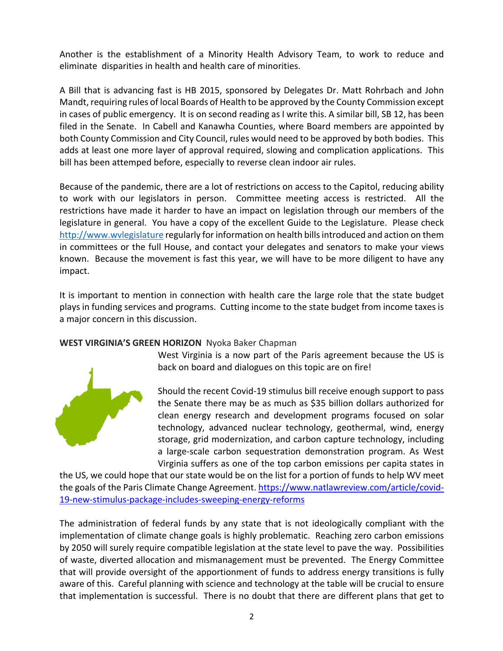Another is the establishment of a Minority Health Advisory Team, to work to reduce and eliminate disparities in health and health care of minorities.

A Bill that is advancing fast is HB 2015, sponsored by Delegates Dr. Matt Rohrbach and John Mandt, requiring rules of local Boards of Health to be approved by the County Commission except in cases of public emergency. It is on second reading as I write this. A similar bill, SB 12, has been filed in the Senate. In Cabell and Kanawha Counties, where Board members are appointed by both County Commission and City Council, rules would need to be approved by both bodies. This adds at least one more layer of approval required, slowing and complication applications. This bill has been attemped before, especially to reverse clean indoor air rules.

Because of the pandemic, there are a lot of restrictions on access to the Capitol, reducing ability to work with our legislators in person. Committee meeting access is restricted. All the restrictions have made it harder to have an impact on legislation through our members of the legislature in general. You have a copy of the excellent Guide to the Legislature. Please check http://www.wvlegislature regularly for information on health bills introduced and action on them in committees or the full House, and contact your delegates and senators to make your views known. Because the movement is fast this year, we will have to be more diligent to have any impact.

It is important to mention in connection with health care the large role that the state budget plays in funding services and programs. Cutting income to the state budget from income taxes is a major concern in this discussion.

#### **WEST VIRGINIA'S GREEN HORIZON** Nyoka Baker Chapman



West Virginia is a now part of the Paris agreement because the US is back on board and dialogues on this topic are on fire!

Should the recent Covid-19 stimulus bill receive enough support to pass the Senate there may be as much as \$35 billion dollars authorized for clean energy research and development programs focused on solar technology, advanced nuclear technology, geothermal, wind, energy storage, grid modernization, and carbon capture technology, including a large-scale carbon sequestration demonstration program. As West Virginia suffers as one of the top carbon emissions per capita states in

the US, we could hope that our state would be on the list for a portion of funds to help WV meet the goals of the Paris Climate Change Agreement. https://www.natlawreview.com/article/covid-19-new-stimulus-package-includes-sweeping-energy-reforms

The administration of federal funds by any state that is not ideologically compliant with the implementation of climate change goals is highly problematic. Reaching zero carbon emissions by 2050 will surely require compatible legislation at the state level to pave the way. Possibilities of waste, diverted allocation and mismanagement must be prevented. The Energy Committee that will provide oversight of the apportionment of funds to address energy transitions is fully aware of this. Careful planning with science and technology at the table will be crucial to ensure that implementation is successful. There is no doubt that there are different plans that get to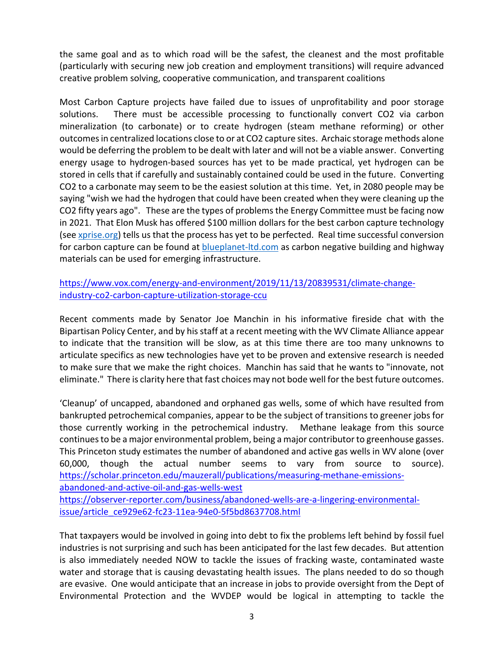the same goal and as to which road will be the safest, the cleanest and the most profitable (particularly with securing new job creation and employment transitions) will require advanced creative problem solving, cooperative communication, and transparent coalitions

Most Carbon Capture projects have failed due to issues of unprofitability and poor storage solutions. There must be accessible processing to functionally convert CO2 via carbon mineralization (to carbonate) or to create hydrogen (steam methane reforming) or other outcomes in centralized locations close to or at CO2 capture sites. Archaic storage methods alone would be deferring the problem to be dealt with later and will not be a viable answer. Converting energy usage to hydrogen-based sources has yet to be made practical, yet hydrogen can be stored in cells that if carefully and sustainably contained could be used in the future. Converting CO2 to a carbonate may seem to be the easiest solution at this time. Yet, in 2080 people may be saying "wish we had the hydrogen that could have been created when they were cleaning up the CO2 fifty years ago". These are the types of problems the Energy Committee must be facing now in 2021. That Elon Musk has offered \$100 million dollars for the best carbon capture technology (see xprise.org) tells us that the process has yet to be perfected. Real time successful conversion for carbon capture can be found at blueplanet-ltd.com as carbon negative building and highway materials can be used for emerging infrastructure.

## https://www.vox.com/energy-and-environment/2019/11/13/20839531/climate-changeindustry-co2-carbon-capture-utilization-storage-ccu

Recent comments made by Senator Joe Manchin in his informative fireside chat with the Bipartisan Policy Center, and by his staff at a recent meeting with the WV Climate Alliance appear to indicate that the transition will be slow, as at this time there are too many unknowns to articulate specifics as new technologies have yet to be proven and extensive research is needed to make sure that we make the right choices. Manchin has said that he wants to "innovate, not eliminate." There is clarity here that fast choices may not bode well for the best future outcomes.

'Cleanup' of uncapped, abandoned and orphaned gas wells, some of which have resulted from bankrupted petrochemical companies, appear to be the subject of transitions to greener jobs for those currently working in the petrochemical industry. Methane leakage from this source continues to be a major environmental problem, being a major contributor to greenhouse gasses. This Princeton study estimates the number of abandoned and active gas wells in WV alone (over 60,000, though the actual number seems to vary from source to source). https://scholar.princeton.edu/mauzerall/publications/measuring-methane-emissionsabandoned-and-active-oil-and-gas-wells-west

https://observer-reporter.com/business/abandoned-wells-are-a-lingering-environmentalissue/article\_ce929e62-fc23-11ea-94e0-5f5bd8637708.html

That taxpayers would be involved in going into debt to fix the problems left behind by fossil fuel industries is not surprising and such has been anticipated for the last few decades. But attention is also immediately needed NOW to tackle the issues of fracking waste, contaminated waste water and storage that is causing devastating health issues. The plans needed to do so though are evasive. One would anticipate that an increase in jobs to provide oversight from the Dept of Environmental Protection and the WVDEP would be logical in attempting to tackle the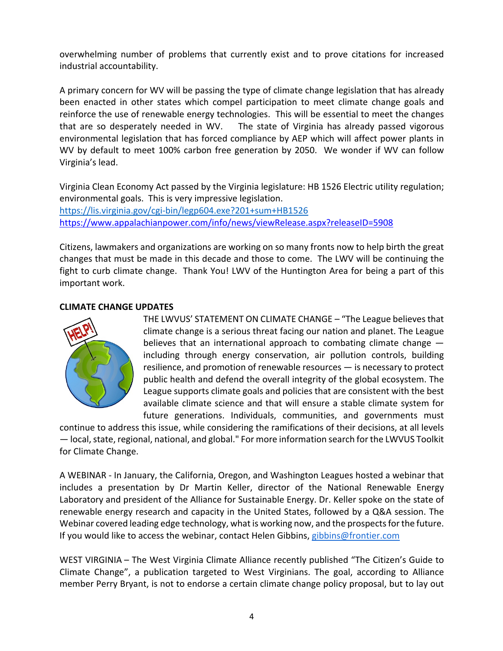overwhelming number of problems that currently exist and to prove citations for increased industrial accountability.

A primary concern for WV will be passing the type of climate change legislation that has already been enacted in other states which compel participation to meet climate change goals and reinforce the use of renewable energy technologies. This will be essential to meet the changes that are so desperately needed in WV. The state of Virginia has already passed vigorous environmental legislation that has forced compliance by AEP which will affect power plants in WV by default to meet 100% carbon free generation by 2050. We wonder if WV can follow Virginia's lead.

Virginia Clean Economy Act passed by the Virginia legislature: HB 1526 Electric utility regulation; environmental goals. This is very impressive legislation. https://lis.virginia.gov/cgi-bin/legp604.exe?201+sum+HB1526 https://www.appalachianpower.com/info/news/viewRelease.aspx?releaseID=5908

Citizens, lawmakers and organizations are working on so many fronts now to help birth the great changes that must be made in this decade and those to come. The LWV will be continuing the fight to curb climate change. Thank You! LWV of the Huntington Area for being a part of this important work.

#### **CLIMATE CHANGE UPDATES**



THE LWVUS' STATEMENT ON CLIMATE CHANGE – "The League believes that climate change is a serious threat facing our nation and planet. The League believes that an international approach to combating climate change including through energy conservation, air pollution controls, building resilience, and promotion of renewable resources — is necessary to protect public health and defend the overall integrity of the global ecosystem. The League supports climate goals and policies that are consistent with the best available climate science and that will ensure a stable climate system for future generations. Individuals, communities, and governments must

continue to address this issue, while considering the ramifications of their decisions, at all levels — local, state, regional, national, and global." For more information search for the LWVUS Toolkit for Climate Change.

A WEBINAR - In January, the California, Oregon, and Washington Leagues hosted a webinar that includes a presentation by Dr Martin Keller, director of the National Renewable Energy Laboratory and president of the Alliance for Sustainable Energy. Dr. Keller spoke on the state of renewable energy research and capacity in the United States, followed by a Q&A session. The Webinar covered leading edge technology, what is working now, and the prospects for the future. If you would like to access the webinar, contact Helen Gibbins, gibbins@frontier.com

WEST VIRGINIA – The West Virginia Climate Alliance recently published "The Citizen's Guide to Climate Change", a publication targeted to West Virginians. The goal, according to Alliance member Perry Bryant, is not to endorse a certain climate change policy proposal, but to lay out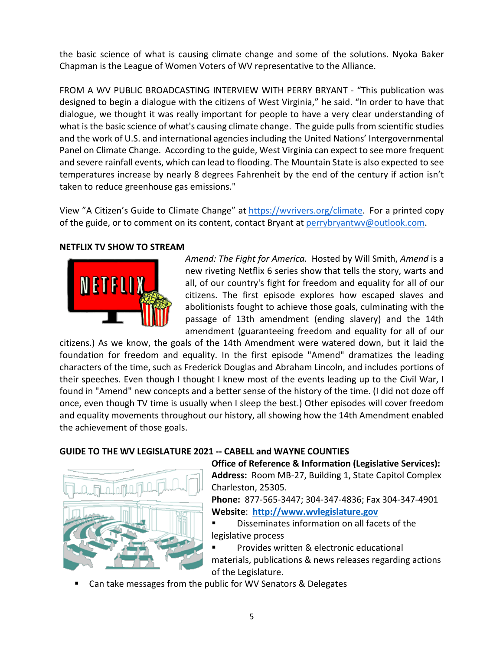the basic science of what is causing climate change and some of the solutions. Nyoka Baker Chapman is the League of Women Voters of WV representative to the Alliance.

FROM A WV PUBLIC BROADCASTING INTERVIEW WITH PERRY BRYANT - "This publication was designed to begin a dialogue with the citizens of West Virginia," he said. "In order to have that dialogue, we thought it was really important for people to have a very clear understanding of what is the basic science of what's causing climate change. The guide pulls from scientific studies and the work of U.S. and international agencies including the United Nations' Intergovernmental Panel on Climate Change. According to the guide, West Virginia can expect to see more frequent and severe rainfall events, which can lead to flooding. The Mountain State is also expected to see temperatures increase by nearly 8 degrees Fahrenheit by the end of the century if action isn't taken to reduce greenhouse gas emissions."

View "A Citizen's Guide to Climate Change" at https://wvrivers.org/climate. For a printed copy of the guide, or to comment on its content, contact Bryant at perrybryantwv@outlook.com.

#### **NETFLIX TV SHOW TO STREAM**



*Amend: The Fight for America.* Hosted by Will Smith, *Amend* is a new riveting Netflix 6 series show that tells the story, warts and all, of our country's fight for freedom and equality for all of our citizens. The first episode explores how escaped slaves and abolitionists fought to achieve those goals, culminating with the passage of 13th amendment (ending slavery) and the 14th amendment (guaranteeing freedom and equality for all of our

citizens.) As we know, the goals of the 14th Amendment were watered down, but it laid the foundation for freedom and equality. In the first episode "Amend" dramatizes the leading characters of the time, such as Frederick Douglas and Abraham Lincoln, and includes portions of their speeches. Even though I thought I knew most of the events leading up to the Civil War, I found in "Amend" new concepts and a better sense of the history of the time. (I did not doze off once, even though TV time is usually when I sleep the best.) Other episodes will cover freedom and equality movements throughout our history, all showing how the 14th Amendment enabled the achievement of those goals.

#### **GUIDE TO THE WV LEGISLATURE 2021 -- CABELL and WAYNE COUNTIES**



**Office of Reference & Information (Legislative Services): Address:** Room MB-27, Building 1, State Capitol Complex Charleston, 25305.

**Phone:** 877-565-3447; 304-347-4836; Fax 304-347-4901 **Website**: **http://www.wvlegislature.gov**

Disseminates information on all facets of the legislative process

§ Provides written & electronic educational materials, publications & news releases regarding actions of the Legislature.

Can take messages from the public for WV Senators & Delegates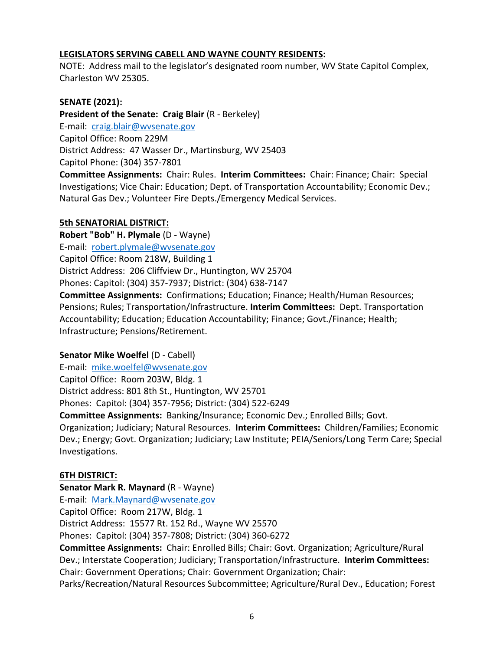#### **LEGISLATORS SERVING CABELL AND WAYNE COUNTY RESIDENTS:**

NOTE: Address mail to the legislator's designated room number, WV State Capitol Complex, Charleston WV 25305.

#### **SENATE (2021):**

**President of the Senate: Craig Blair** (R - Berkeley) E-mail: craig.blair@wvsenate.gov Capitol Office: Room 229M District Address: 47 Wasser Dr., Martinsburg, WV 25403 Capitol Phone: (304) 357-7801 **Committee Assignments:** Chair: Rules. **Interim Committees:** Chair: Finance; Chair: Special

Investigations; Vice Chair: Education; Dept. of Transportation Accountability; Economic Dev.; Natural Gas Dev.; Volunteer Fire Depts./Emergency Medical Services.

#### **5th SENATORIAL DISTRICT:**

**Robert "Bob" H. Plymale** (D - Wayne) E-mail: robert.plymale@wvsenate.gov Capitol Office: Room 218W, Building 1 District Address: 206 Cliffview Dr., Huntington, WV 25704 Phones: Capitol: (304) 357-7937; District: (304) 638-7147 **Committee Assignments:** Confirmations; Education; Finance; Health/Human Resources; Pensions; Rules; Transportation/Infrastructure. **Interim Committees:** Dept. Transportation Accountability; Education; Education Accountability; Finance; Govt./Finance; Health; Infrastructure; Pensions/Retirement.

#### **Senator Mike Woelfel** (D - Cabell)

E-mail: mike.woelfel@wvsenate.gov Capitol Office: Room 203W, Bldg. 1 District address: 801 8th St., Huntington, WV 25701 Phones: Capitol: (304) 357-7956; District: (304) 522-6249

**Committee Assignments:** Banking/Insurance; Economic Dev.; Enrolled Bills; Govt. Organization; Judiciary; Natural Resources. **Interim Committees:** Children/Families; Economic Dev.; Energy; Govt. Organization; Judiciary; Law Institute; PEIA/Seniors/Long Term Care; Special Investigations.

#### **6TH DISTRICT:**

**Senator Mark R. Maynard** (R - Wayne) E-mail: Mark.Maynard@wvsenate.gov Capitol Office: Room 217W, Bldg. 1 District Address: 15577 Rt. 152 Rd., Wayne WV 25570 Phones: Capitol: (304) 357-7808; District: (304) 360-6272 **Committee Assignments:** Chair: Enrolled Bills; Chair: Govt. Organization; Agriculture/Rural

Dev.; Interstate Cooperation; Judiciary; Transportation/Infrastructure. **Interim Committees:** Chair: Government Operations; Chair: Government Organization; Chair:

Parks/Recreation/Natural Resources Subcommittee; Agriculture/Rural Dev., Education; Forest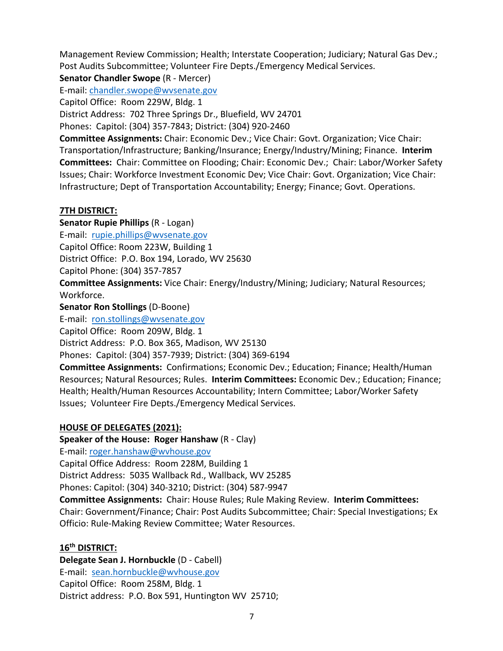Management Review Commission; Health; Interstate Cooperation; Judiciary; Natural Gas Dev.; Post Audits Subcommittee; Volunteer Fire Depts./Emergency Medical Services.

**Senator Chandler Swope** (R - Mercer)

E-mail: chandler.swope@wvsenate.gov

Capitol Office: Room 229W, Bldg. 1

District Address: 702 Three Springs Dr., Bluefield, WV 24701

Phones: Capitol: (304) 357-7843; District: (304) 920-2460

**Committee Assignments:** Chair: Economic Dev.; Vice Chair: Govt. Organization; Vice Chair: Transportation/Infrastructure; Banking/Insurance; Energy/Industry/Mining; Finance. **Interim Committees:** Chair: Committee on Flooding; Chair: Economic Dev.; Chair: Labor/Worker Safety Issues; Chair: Workforce Investment Economic Dev; Vice Chair: Govt. Organization; Vice Chair: Infrastructure; Dept of Transportation Accountability; Energy; Finance; Govt. Operations.

### **7TH DISTRICT:**

**Senator Rupie Phillips** (R - Logan) E-mail: rupie.phillips@wvsenate.gov Capitol Office: Room 223W, Building 1 District Office: P.O. Box 194, Lorado, WV 25630 Capitol Phone: (304) 357-7857 **Committee Assignments:** Vice Chair: Energy/Industry/Mining; Judiciary; Natural Resources; Workforce.

**Senator Ron Stollings** (D-Boone)

E-mail: ron.stollings@wvsenate.gov

Capitol Office: Room 209W, Bldg. 1

District Address: P.O. Box 365, Madison, WV 25130

Phones: Capitol: (304) 357-7939; District: (304) 369-6194

**Committee Assignments:** Confirmations; Economic Dev.; Education; Finance; Health/Human Resources; Natural Resources; Rules. **Interim Committees:** Economic Dev.; Education; Finance; Health; Health/Human Resources Accountability; Intern Committee; Labor/Worker Safety Issues; Volunteer Fire Depts./Emergency Medical Services.

# **HOUSE OF DELEGATES (2021):**

**Speaker of the House: Roger Hanshaw (R - Clay)** 

E-mail: roger.hanshaw@wvhouse.gov

Capital Office Address: Room 228M, Building 1

District Address: 5035 Wallback Rd., Wallback, WV 25285

Phones: Capitol: (304) 340-3210; District: (304) 587-9947

**Committee Assignments:** Chair: House Rules; Rule Making Review. **Interim Committees:** Chair: Government/Finance; Chair: Post Audits Subcommittee; Chair: Special Investigations; Ex Officio: Rule-Making Review Committee; Water Resources.

# **16th DISTRICT:**

**Delegate Sean J. Hornbuckle** (D - Cabell) E-mail: sean.hornbuckle@wvhouse.gov Capitol Office: Room 258M, Bldg. 1 District address: P.O. Box 591, Huntington WV 25710;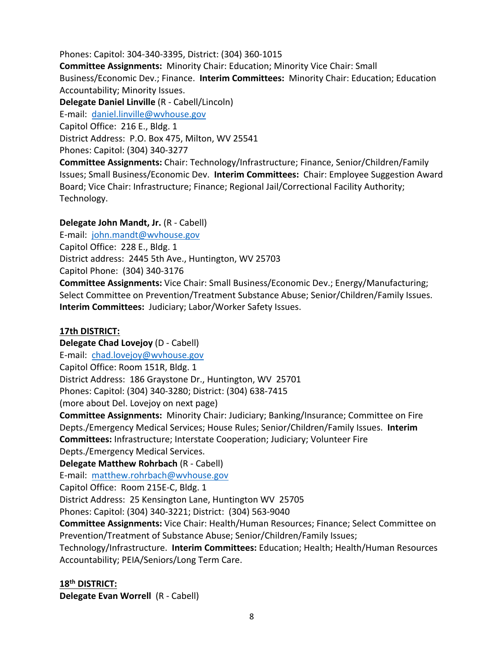Phones: Capitol: 304-340-3395, District: (304) 360-1015 **Committee Assignments:** Minority Chair: Education; Minority Vice Chair: Small Business/Economic Dev.; Finance. **Interim Committees:** Minority Chair: Education; Education Accountability; Minority Issues. **Delegate Daniel Linville** (R - Cabell/Lincoln) E-mail: daniel.linville@wvhouse.gov Capitol Office: 216 E., Bldg. 1 District Address: P.O. Box 475, Milton, WV 25541 Phones: Capitol: (304) 340-3277 **Committee Assignments:** Chair: Technology/Infrastructure; Finance, Senior/Children/Family Issues; Small Business/Economic Dev. **Interim Committees:** Chair: Employee Suggestion Award

Board; Vice Chair: Infrastructure; Finance; Regional Jail/Correctional Facility Authority; Technology.

# **Delegate John Mandt, Jr.** (R - Cabell)

E-mail: john.mandt@wvhouse.gov Capitol Office: 228 E., Bldg. 1 District address: 2445 5th Ave., Huntington, WV 25703 Capitol Phone: (304) 340-3176 **Committee Assignments:** Vice Chair: Small Business/Economic Dev.; Energy/Manufacturing; Select Committee on Prevention/Treatment Substance Abuse; Senior/Children/Family Issues. **Interim Committees:** Judiciary; Labor/Worker Safety Issues.

# **17th DISTRICT:**

**Delegate Chad Lovejoy** (D - Cabell) E-mail: chad.lovejoy@wvhouse.gov Capitol Office: Room 151R, Bldg. 1 District Address: 186 Graystone Dr., Huntington, WV 25701 Phones: Capitol: (304) 340-3280; District: (304) 638-7415 (more about Del. Lovejoy on next page)

**Committee Assignments:** Minority Chair: Judiciary; Banking/Insurance; Committee on Fire Depts./Emergency Medical Services; House Rules; Senior/Children/Family Issues. **Interim Committees:** Infrastructure; Interstate Cooperation; Judiciary; Volunteer Fire Depts./Emergency Medical Services.

**Delegate Matthew Rohrbach** (R - Cabell)

E-mail: matthew.rohrbach@wvhouse.gov

Capitol Office: Room 215E-C, Bldg. 1

District Address: 25 Kensington Lane, Huntington WV 25705

Phones: Capitol: (304) 340-3221; District: (304) 563-9040

**Committee Assignments:** Vice Chair: Health/Human Resources; Finance; Select Committee on Prevention/Treatment of Substance Abuse; Senior/Children/Family Issues;

Technology/Infrastructure. **Interim Committees:** Education; Health; Health/Human Resources Accountability; PEIA/Seniors/Long Term Care.

# **18th DISTRICT:**

**Delegate Evan Worrell** (R - Cabell)